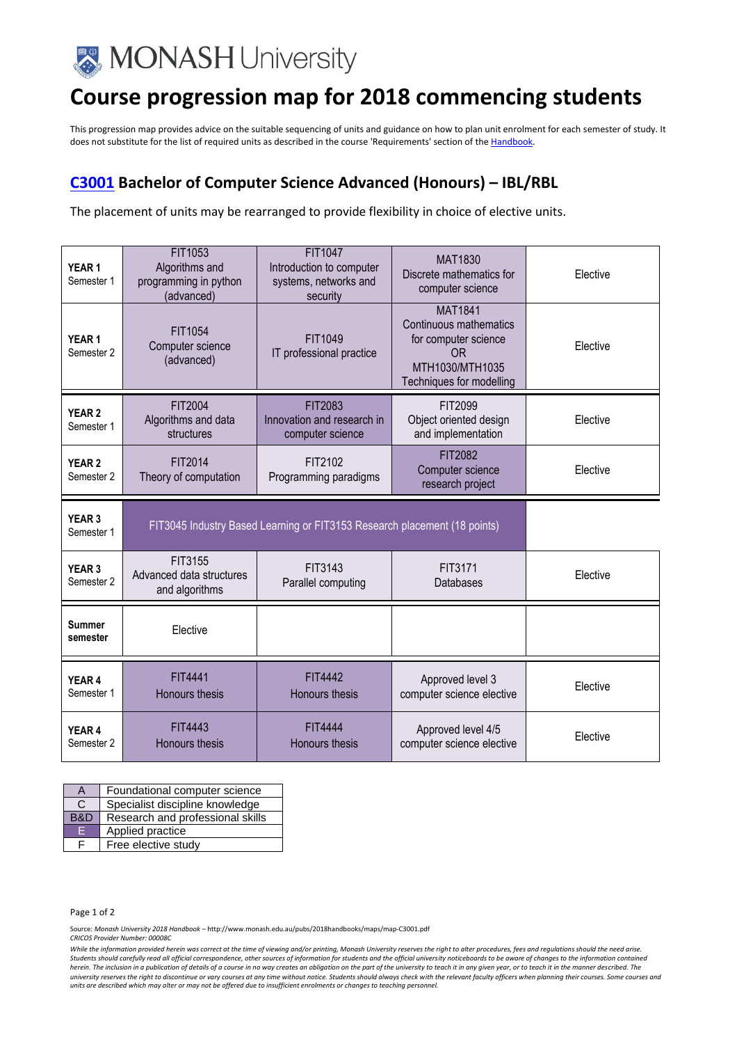

## **Course progression map for 2018 commencing students**

This progression map provides advice on the suitable sequencing of units and guidance on how to plan unit enrolment for each semester of study. It does not substitute for the list of required units as described in the course 'Requirements' section of th[e Handbook.](http://www.monash.edu.au/pubs/2018handbooks/)

## **[C3001](http://www.monash.edu.au/pubs/2018handbooks/courses/C3001.html) Bachelor of Computer Science Advanced (Honours) – IBL/RBL**

The placement of units may be rearranged to provide flexibility in choice of elective units.

| YEAR <sub>1</sub><br>Semester 1 | FIT1053<br>Algorithms and<br>programming in python<br>(advanced)          | FIT1047<br>Introduction to computer<br>systems, networks and<br>security | <b>MAT1830</b><br>Discrete mathematics for<br>computer science                                                               | Elective |
|---------------------------------|---------------------------------------------------------------------------|--------------------------------------------------------------------------|------------------------------------------------------------------------------------------------------------------------------|----------|
| YEAR <sub>1</sub><br>Semester 2 | FIT1054<br>Computer science<br>(advanced)                                 | FIT1049<br>IT professional practice                                      | <b>MAT1841</b><br>Continuous mathematics<br>for computer science<br><b>OR</b><br>MTH1030/MTH1035<br>Techniques for modelling | Elective |
| <b>YEAR 2</b><br>Semester 1     | FIT2004<br>Algorithms and data<br>structures                              | FIT2083<br>Innovation and research in<br>computer science                | FIT2099<br>Object oriented design<br>and implementation                                                                      | Elective |
| YEAR <sub>2</sub><br>Semester 2 | FIT2014<br>Theory of computation                                          | FIT2102<br>Programming paradigms                                         | FIT2082<br>Computer science<br>research project                                                                              | Elective |
|                                 | FIT3045 Industry Based Learning or FIT3153 Research placement (18 points) |                                                                          |                                                                                                                              |          |
| YEAR 3<br>Semester 1            |                                                                           |                                                                          |                                                                                                                              |          |
| YEAR <sub>3</sub><br>Semester 2 | FIT3155<br>Advanced data structures<br>and algorithms                     | FIT3143<br>Parallel computing                                            | FIT3171<br>Databases                                                                                                         | Elective |
| <b>Summer</b><br>semester       | Elective                                                                  |                                                                          |                                                                                                                              |          |
| YEAR <sub>4</sub><br>Semester 1 | FIT4441<br><b>Honours thesis</b>                                          | <b>FIT4442</b><br>Honours thesis                                         | Approved level 3<br>computer science elective                                                                                | Elective |

| А   | Foundational computer science    |
|-----|----------------------------------|
| C   | Specialist discipline knowledge  |
| B&D | Research and professional skills |
| E   | Applied practice                 |
| F   | Free elective study              |

Page 1 of 2

Source: *Monash University 2018 Handbook –* http://www.monash.edu.au/pubs/2018handbooks/maps/map-C3001.pdf

*CRICOS Provider Number: 00008C*

*While the information provided herein was correct at the time of viewing and/or printing, Monash University reserves the right to alter procedures, fees and regulations should the need arise. Students should carefully read all official correspondence, other sources of information for students and the official university noticeboards to be aware of changes to the information contained herein. The inclusion in a publication of details of a course in no way creates an obligation on the part of the university to teach it in any given year, or to teach it in the manner described. The university reserves the right to discontinue or vary courses at any time without notice. Students should always check with the relevant faculty officers when planning their courses. Some courses and units are described which may alter or may not be offered due to insufficient enrolments or changes to teaching personnel.*